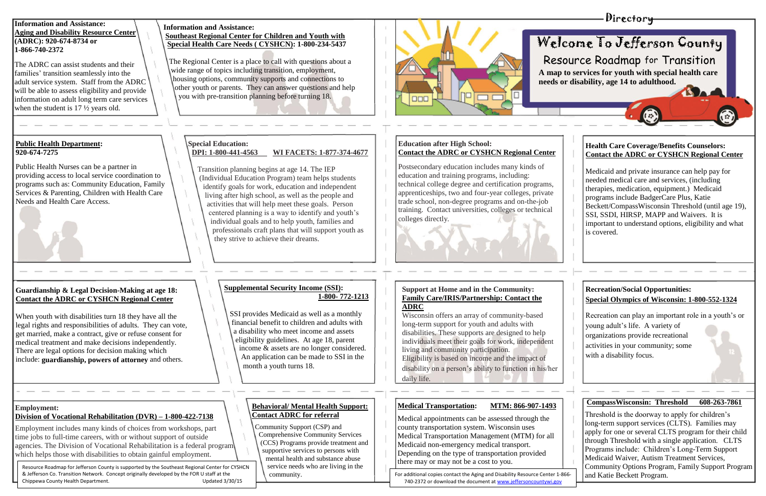The ADRC can assist students and their families' transition seamlessly into the adult service system. Staff from the ADRC will be able to assess eligibility and provide information on adult long term care services when the student is 17  $\frac{1}{2}$  years old.

**Information and Assistance: Aging and Disability Resource Center (ADRC): 920-674-8734 or 1-866-740-2372**

# **Special Education:**

# **DPI: 1-800-441-4563 WI FACETS: 1-877-374-4677**

 Transition planning begins at age 14. The IEP (Individual Education Program) team helps students identify goals for work, education and independent living after high school, as well as the people and activities that will help meet these goals. Person centered planning is a way to identify and youth's individual goals and to help youth, families and professionals craft plans that will support youth as they strive to achieve their dreams.

# **Public Health Department: 920-674-7275**

Public Health Nurses can be a partner in providing access to local service coordination to programs such as: Community Education, Family Services & Parenting, Children with Health Care Needs and Health Care Access.

# **Supplemental Security Income (SSI): 1-800- 772-1213**

 SSI provides Medicaid as well as a monthly financial benefit to children and adults with a disability who meet income and assets eligibility guidelines. At age 18, parent income & assets are no longer considered. An application can be made to SSI in the month a youth turns 18.

# **Guardianship & Legal Decision-Making at age 18: Contact the ADRC or CYSHCN Regional Center**

When youth with disabilities turn 18 they have all the legal rights and responsibilities of adults. They can vote, get married, make a contract, give or refuse consent for medical treatment and make decisions independently. There are legal options for decision making which include: **guardianship, powers of attorney** and others.

## **Employment: Division of Vocational Rehabilitation (DVR) – 1-800-422-7138**

Employment includes many kinds of choices from workshops, part time jobs to full-time careers, with or without support of outside agencies. The Division of Vocational Rehabilitation is a federal program which helps those with disabilities to obtain gainful employment.

# **Behavioral/ Mental Health Support: Contact ADRC for referral**

 Community Support (CSP) and Comprehensive Community Services (CCS) Programs provide treatment and supportive services to persons with mental health and substance abuse service needs who are living in the community.

# **Information and Assistance: Southeast Regional Center for Children and Youth with Special Health Care Needs ( CYSHCN): 1-800-234-5437**

 The Regional Center is a place to call with questions about a wide range of topics including transition, employment, housing options, community supports and connections to other youth or parents. They can answer questions and help you with pre-transition planning before turning 18.

Resource Roadmap for Jefferson County is supported by the Southeast Regional Center for CYSHCN & Jefferson Co. Transition Network. Concept originally developed by the FOR U staff at the Chippewa County Health Department. Updated 3/30/15